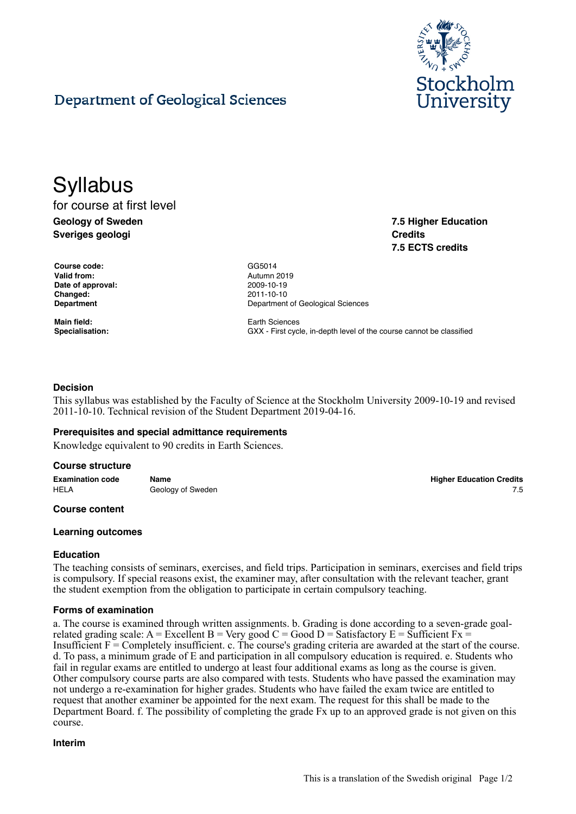

**7.5 Higher Education**

**7.5 ECTS credits**

**Credits**

# Department of Geological Sciences

# **Syllabus**

# for course at first level **Geology of Sweden Sveriges geologi**

**Course code:** GG5014 **Valid from:** Autumn 2019 **Date of approval:** 2009-10-19 **Changed:** 2011-10-10

**Main field:** Earth Sciences

**Department Department Department** of Geological Sciences

**Specialisation:** GXX - First cycle, in-depth level of the course cannot be classified

# **Decision**

This syllabus was established by the Faculty of Science at the Stockholm University 2009-10-19 and revised 2011-10-10. Technical revision of the Student Department 2019-04-16.

## **Prerequisites and special admittance requirements**

Knowledge equivalent to 90 credits in Earth Sciences.

#### **Course structure**

**Examination code Name Higher Education Credits** HELA Geology of Sweden **Figure 1.5** Section 1.5 Section 1.5 Section 1.5 Section 1.5 Section 1.5 Section 1.5 Section 1.5 Section 1.5 Section 1.5 Section 1.5 Section 1.5 Section 1.5 Section 1.5 Section 1.5 Section 1.5 Sectio

#### **Course content**

#### **Learning outcomes**

## **Education**

The teaching consists of seminars, exercises, and field trips. Participation in seminars, exercises and field trips is compulsory. If special reasons exist, the examiner may, after consultation with the relevant teacher, grant the student exemption from the obligation to participate in certain compulsory teaching.

#### **Forms of examination**

a. The course is examined through written assignments. b. Grading is done according to a seven-grade goalrelated grading scale:  $A = Excellent B = Very good C = Good D = Satisfactory E = Sufficient Fx =$ Insufficient  $F =$  Completely insufficient. c. The course's grading criteria are awarded at the start of the course. d. To pass, a minimum grade of E and participation in all compulsory education is required. e. Students who fail in regular exams are entitled to undergo at least four additional exams as long as the course is given. Other compulsory course parts are also compared with tests. Students who have passed the examination may not undergo a re-examination for higher grades. Students who have failed the exam twice are entitled to request that another examiner be appointed for the next exam. The request for this shall be made to the Department Board. f. The possibility of completing the grade Fx up to an approved grade is not given on this course.

**Interim**